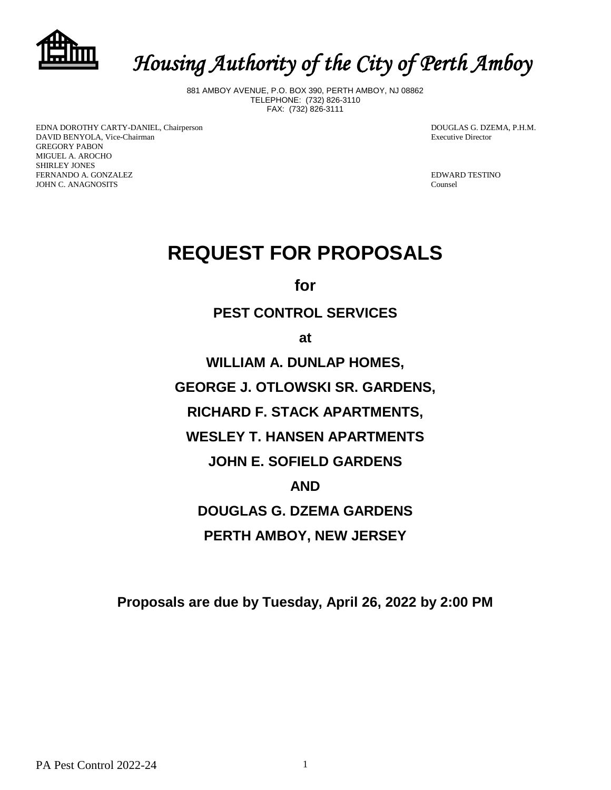

# *Housing Authority of the City of Perth Amboy*

881 AMBOY AVENUE, P.O. BOX 390, PERTH AMBOY, NJ 08862 TELEPHONE: (732) 826-3110 FAX: (732) 826-3111

EDNA DOROTHY CARTY-DANIEL, Chairperson **DOUGLAS G. DZEMA, P.H.M.** DAVID BENYOLA, Vice-Chairman **Executive Director** Executive Director GREGORY PABON MIGUEL A. AROCHO SHIRLEY JONES FERNANDO A. GONZALEZ **EDWARD TESTINO** JOHN C. ANAGNOSITS Counsel

# **REQUEST FOR PROPOSALS**

**for**

# **PEST CONTROL SERVICES**

**at**

**WILLIAM A. DUNLAP HOMES,**

**GEORGE J. OTLOWSKI SR. GARDENS,**

**RICHARD F. STACK APARTMENTS,**

**WESLEY T. HANSEN APARTMENTS**

**JOHN E. SOFIELD GARDENS**

## **AND**

**DOUGLAS G. DZEMA GARDENS**

**PERTH AMBOY, NEW JERSEY**

**Proposals are due by Tuesday, April 26, 2022 by 2:00 PM**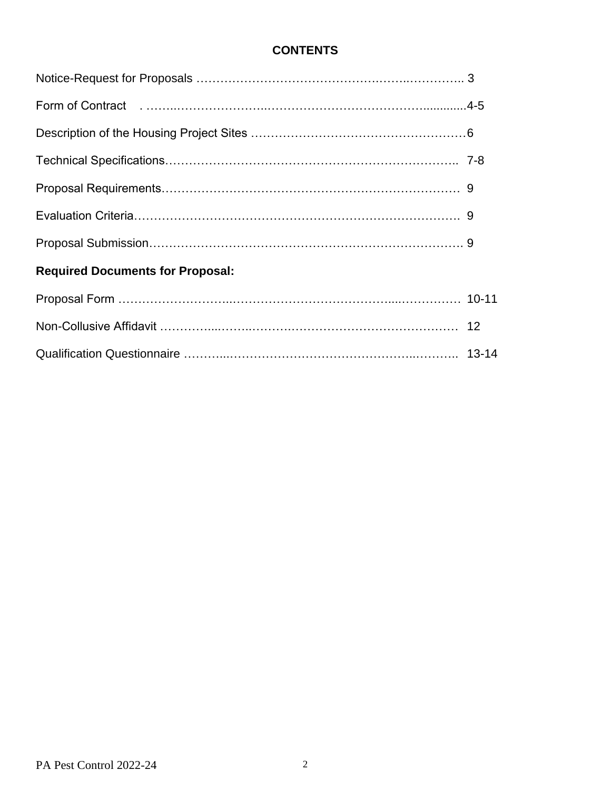## **CONTENTS**

| Form of Contract (educational contract) 4-5 |  |
|---------------------------------------------|--|
|                                             |  |
|                                             |  |
|                                             |  |
|                                             |  |
|                                             |  |
| <b>Required Documents for Proposal:</b>     |  |
|                                             |  |
|                                             |  |
|                                             |  |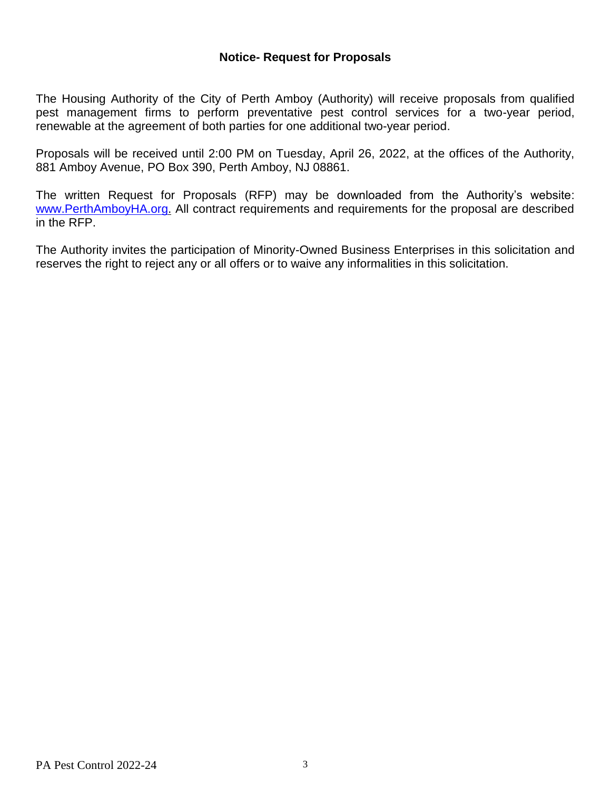## **Notice- Request for Proposals**

The Housing Authority of the City of Perth Amboy (Authority) will receive proposals from qualified pest management firms to perform preventative pest control services for a two-year period, renewable at the agreement of both parties for one additional two-year period.

Proposals will be received until 2:00 PM on Tuesday, April 26, 2022, at the offices of the Authority, 881 Amboy Avenue, PO Box 390, Perth Amboy, NJ 08861.

The written Request for Proposals (RFP) may be downloaded from the Authority's website: [www.PerthAmboyHA.org.](http://www.perthamboyha.org/) All contract requirements and requirements for the proposal are described in the RFP.

The Authority invites the participation of Minority-Owned Business Enterprises in this solicitation and reserves the right to reject any or all offers or to waive any informalities in this solicitation.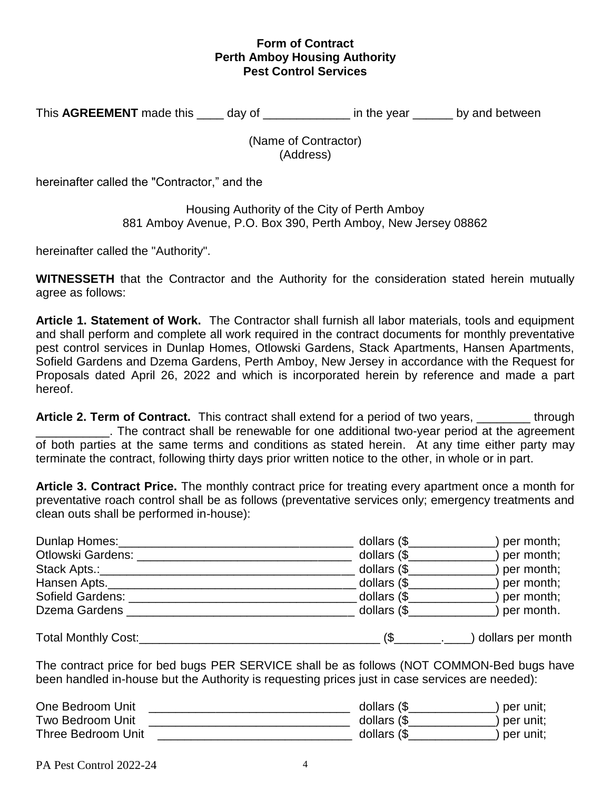## **Form of Contract Perth Amboy Housing Authority Pest Control Services**

This **AGREEMENT** made this \_\_\_\_\_ day of \_\_\_\_\_\_\_\_\_\_\_\_\_\_ in the year \_\_\_\_\_\_ by and between

(Name of Contractor) (Address)

hereinafter called the "Contractor," and the

Housing Authority of the City of Perth Amboy 881 Amboy Avenue, P.O. Box 390, Perth Amboy, New Jersey 08862

hereinafter called the "Authority".

**WITNESSETH** that the Contractor and the Authority for the consideration stated herein mutually agree as follows:

**Article 1. Statement of Work.** The Contractor shall furnish all labor materials, tools and equipment and shall perform and complete all work required in the contract documents for monthly preventative pest control services in Dunlap Homes, Otlowski Gardens, Stack Apartments, Hansen Apartments, Sofield Gardens and Dzema Gardens, Perth Amboy, New Jersey in accordance with the Request for Proposals dated April 26, 2022 and which is incorporated herein by reference and made a part hereof.

**Article 2. Term of Contract.** This contract shall extend for a period of two years, \_\_\_\_\_\_\_\_ through \_\_\_\_\_\_\_\_\_\_\_. The contract shall be renewable for one additional two-year period at the agreement of both parties at the same terms and conditions as stated herein. At any time either party may terminate the contract, following thirty days prior written notice to the other, in whole or in part.

**Article 3. Contract Price.** The monthly contract price for treating every apartment once a month for preventative roach control shall be as follows (preventative services only; emergency treatments and clean outs shall be performed in-house):

| Dunlap Homes:       | dollars $(\frac{6}{2})$ | per month;        |
|---------------------|-------------------------|-------------------|
| Otlowski Gardens:   | dollars $(\$$           | per month;        |
| Stack Apts.:____    | dollars $(\$$           | per month;        |
| Hansen Apts.        | dollars (\$             | per month;        |
| Sofield Gardens:    | dollars (\$_            | per month;        |
| Dzema Gardens       | dollars $(\$            | per month.        |
| Total Monthly Cost: |                         | dollars per month |

The contract price for bed bugs PER SERVICE shall be as follows (NOT COMMON-Bed bugs have been handled in-house but the Authority is requesting prices just in case services are needed):

| One Bedroom Unit   | dollars (\$  | `per unit; |
|--------------------|--------------|------------|
| Two Bedroom Unit   | dollars $(\$ | per unit;  |
| Three Bedroom Unit | dollars (\$  | per unit:  |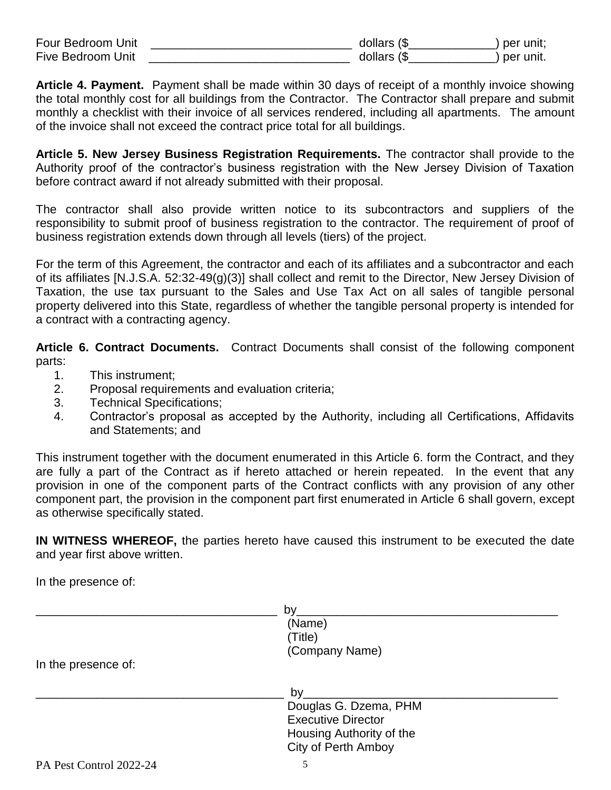| Four Bedroom Unit        | $\blacksquare$<br>aollars | per |
|--------------------------|---------------------------|-----|
| <b>Five Bedroom Unit</b> | n ro<br>10113             | per |

**Article 4. Payment.** Payment shall be made within 30 days of receipt of a monthly invoice showing the total monthly cost for all buildings from the Contractor. The Contractor shall prepare and submit monthly a checklist with their invoice of all services rendered, including all apartments. The amount of the invoice shall not exceed the contract price total for all buildings.

**Article 5. New Jersey Business Registration Requirements.** The contractor shall provide to the Authority proof of the contractor's business registration with the New Jersey Division of Taxation before contract award if not already submitted with their proposal.

The contractor shall also provide written notice to its subcontractors and suppliers of the responsibility to submit proof of business registration to the contractor. The requirement of proof of business registration extends down through all levels (tiers) of the project.

For the term of this Agreement, the contractor and each of its affiliates and a subcontractor and each of its affiliates [N.J.S.A. 52:32-49(g)(3)] shall collect and remit to the Director, New Jersey Division of Taxation, the use tax pursuant to the Sales and Use Tax Act on all sales of tangible personal property delivered into this State, regardless of whether the tangible personal property is intended for a contract with a contracting agency.

**Article 6. Contract Documents.** Contract Documents shall consist of the following component parts:

- 1. This instrument;
- 2. Proposal requirements and evaluation criteria;
- 3. Technical Specifications;
- 4. Contractor's proposal as accepted by the Authority, including all Certifications, Affidavits and Statements; and

This instrument together with the document enumerated in this Article 6. form the Contract, and they are fully a part of the Contract as if hereto attached or herein repeated. In the event that any provision in one of the component parts of the Contract conflicts with any provision of any other component part, the provision in the component part first enumerated in Article 6 shall govern, except as otherwise specifically stated.

**IN WITNESS WHEREOF,** the parties hereto have caused this instrument to be executed the date and year first above written.

In the presence of:

|                         | by                         |  |
|-------------------------|----------------------------|--|
|                         | (Name)                     |  |
|                         | (Title)                    |  |
|                         | (Company Name)             |  |
| In the presence of:     |                            |  |
|                         | by                         |  |
|                         | Douglas G. Dzema, PHM      |  |
|                         | <b>Executive Director</b>  |  |
|                         | Housing Authority of the   |  |
|                         | <b>City of Perth Amboy</b> |  |
| PA Pest Control 2022-24 | 5                          |  |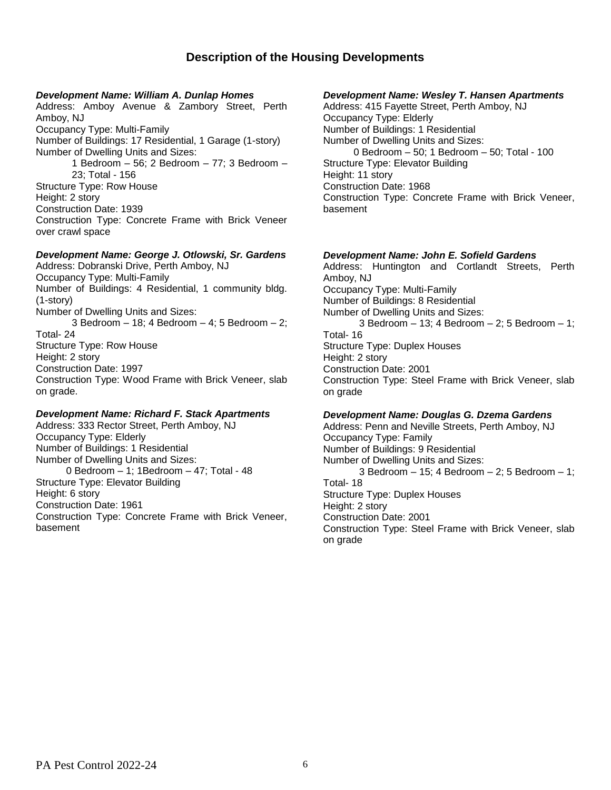## **Description of the Housing Developments**

#### *Development Name: William A. Dunlap Homes*

Address: Amboy Avenue & Zambory Street, Perth Amboy, NJ Occupancy Type: Multi-Family Number of Buildings: 17 Residential, 1 Garage (1-story) Number of Dwelling Units and Sizes: 1 Bedroom – 56; 2 Bedroom – 77; 3 Bedroom – 23; Total - 156 Structure Type: Row House Height: 2 story Construction Date: 1939 Construction Type: Concrete Frame with Brick Veneer over crawl space

#### *Development Name: George J. Otlowski, Sr. Gardens*

Address: Dobranski Drive, Perth Amboy, NJ Occupancy Type: Multi-Family Number of Buildings: 4 Residential, 1 community bldg. (1-story) Number of Dwelling Units and Sizes: 3 Bedroom – 18; 4 Bedroom – 4; 5 Bedroom – 2; Total- 24 Structure Type: Row House Height: 2 story Construction Date: 1997 Construction Type: Wood Frame with Brick Veneer, slab on grade.

#### *Development Name: Richard F. Stack Apartments*

Address: 333 Rector Street, Perth Amboy, NJ Occupancy Type: Elderly Number of Buildings: 1 Residential Number of Dwelling Units and Sizes: 0 Bedroom – 1; 1Bedroom – 47; Total - 48 Structure Type: Elevator Building Height: 6 story Construction Date: 1961 Construction Type: Concrete Frame with Brick Veneer, basement

#### *Development Name: Wesley T. Hansen Apartments*

Address: 415 Fayette Street, Perth Amboy, NJ Occupancy Type: Elderly Number of Buildings: 1 Residential Number of Dwelling Units and Sizes: 0 Bedroom – 50; 1 Bedroom – 50; Total - 100 Structure Type: Elevator Building Height: 11 story Construction Date: 1968 Construction Type: Concrete Frame with Brick Veneer, basement

#### *Development Name: John E. Sofield Gardens*

Address: Huntington and Cortlandt Streets, Perth Amboy, NJ Occupancy Type: Multi-Family Number of Buildings: 8 Residential Number of Dwelling Units and Sizes: 3 Bedroom – 13; 4 Bedroom – 2; 5 Bedroom – 1; Total- 16 Structure Type: Duplex Houses Height: 2 story Construction Date: 2001 Construction Type: Steel Frame with Brick Veneer, slab on grade

#### *Development Name: Douglas G. Dzema Gardens*

Address: Penn and Neville Streets, Perth Amboy, NJ Occupancy Type: Family Number of Buildings: 9 Residential Number of Dwelling Units and Sizes: 3 Bedroom – 15; 4 Bedroom – 2; 5 Bedroom – 1; Total- 18 Structure Type: Duplex Houses Height: 2 story Construction Date: 2001 Construction Type: Steel Frame with Brick Veneer, slab on grade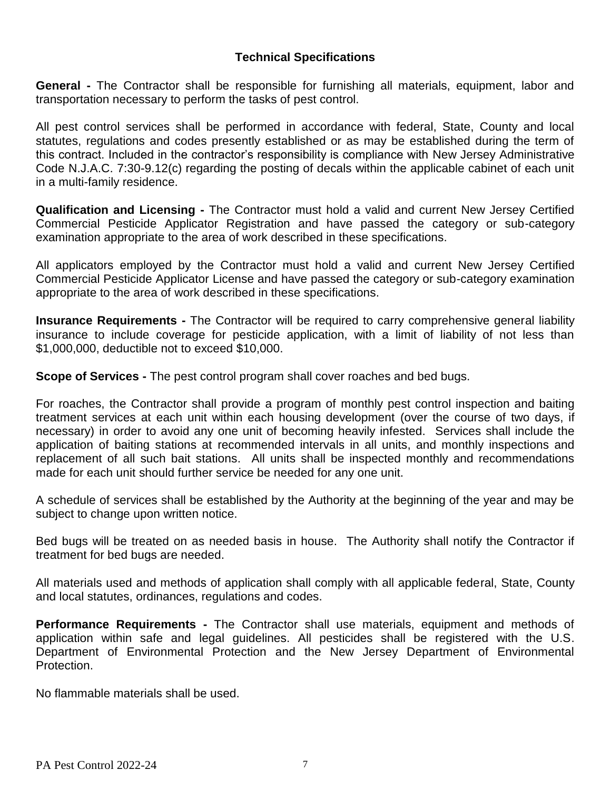## **Technical Specifications**

**General -** The Contractor shall be responsible for furnishing all materials, equipment, labor and transportation necessary to perform the tasks of pest control.

All pest control services shall be performed in accordance with federal, State, County and local statutes, regulations and codes presently established or as may be established during the term of this contract. Included in the contractor's responsibility is compliance with New Jersey Administrative Code N.J.A.C. 7:30-9.12(c) regarding the posting of decals within the applicable cabinet of each unit in a multi-family residence.

**Qualification and Licensing -** The Contractor must hold a valid and current New Jersey Certified Commercial Pesticide Applicator Registration and have passed the category or sub-category examination appropriate to the area of work described in these specifications.

All applicators employed by the Contractor must hold a valid and current New Jersey Certified Commercial Pesticide Applicator License and have passed the category or sub-category examination appropriate to the area of work described in these specifications.

**Insurance Requirements -** The Contractor will be required to carry comprehensive general liability insurance to include coverage for pesticide application, with a limit of liability of not less than \$1,000,000, deductible not to exceed \$10,000.

**Scope of Services -** The pest control program shall cover roaches and bed bugs.

For roaches, the Contractor shall provide a program of monthly pest control inspection and baiting treatment services at each unit within each housing development (over the course of two days, if necessary) in order to avoid any one unit of becoming heavily infested. Services shall include the application of baiting stations at recommended intervals in all units, and monthly inspections and replacement of all such bait stations. All units shall be inspected monthly and recommendations made for each unit should further service be needed for any one unit.

A schedule of services shall be established by the Authority at the beginning of the year and may be subject to change upon written notice.

Bed bugs will be treated on as needed basis in house. The Authority shall notify the Contractor if treatment for bed bugs are needed.

All materials used and methods of application shall comply with all applicable federal, State, County and local statutes, ordinances, regulations and codes.

**Performance Requirements -** The Contractor shall use materials, equipment and methods of application within safe and legal guidelines. All pesticides shall be registered with the U.S. Department of Environmental Protection and the New Jersey Department of Environmental Protection.

No flammable materials shall be used.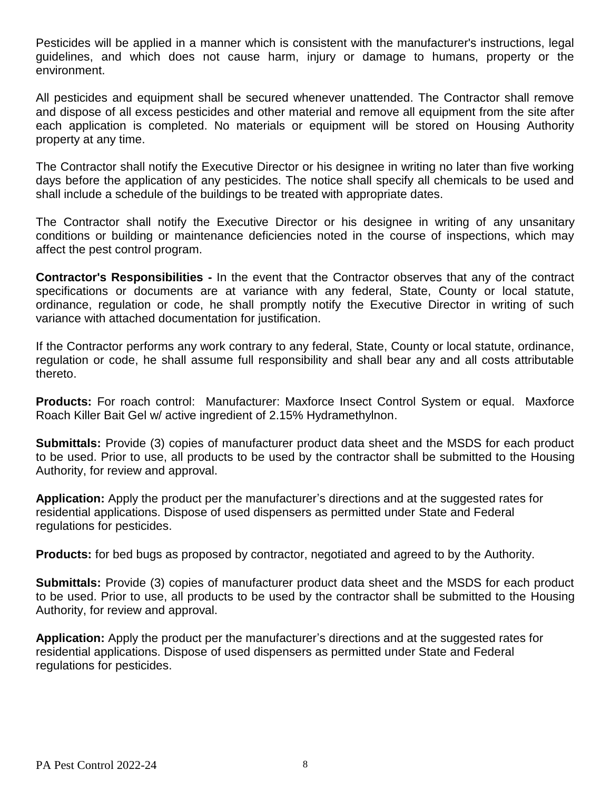Pesticides will be applied in a manner which is consistent with the manufacturer's instructions, legal guidelines, and which does not cause harm, injury or damage to humans, property or the environment.

All pesticides and equipment shall be secured whenever unattended. The Contractor shall remove and dispose of all excess pesticides and other material and remove all equipment from the site after each application is completed. No materials or equipment will be stored on Housing Authority property at any time.

The Contractor shall notify the Executive Director or his designee in writing no later than five working days before the application of any pesticides. The notice shall specify all chemicals to be used and shall include a schedule of the buildings to be treated with appropriate dates.

The Contractor shall notify the Executive Director or his designee in writing of any unsanitary conditions or building or maintenance deficiencies noted in the course of inspections, which may affect the pest control program.

**Contractor's Responsibilities -** In the event that the Contractor observes that any of the contract specifications or documents are at variance with any federal, State, County or local statute, ordinance, regulation or code, he shall promptly notify the Executive Director in writing of such variance with attached documentation for justification.

If the Contractor performs any work contrary to any federal, State, County or local statute, ordinance, regulation or code, he shall assume full responsibility and shall bear any and all costs attributable thereto.

**Products:** For roach control: Manufacturer: Maxforce Insect Control System or equal. Maxforce Roach Killer Bait Gel w/ active ingredient of 2.15% Hydramethylnon.

**Submittals:** Provide (3) copies of manufacturer product data sheet and the MSDS for each product to be used. Prior to use, all products to be used by the contractor shall be submitted to the Housing Authority, for review and approval.

**Application:** Apply the product per the manufacturer's directions and at the suggested rates for residential applications. Dispose of used dispensers as permitted under State and Federal regulations for pesticides.

**Products:** for bed bugs as proposed by contractor, negotiated and agreed to by the Authority.

**Submittals:** Provide (3) copies of manufacturer product data sheet and the MSDS for each product to be used. Prior to use, all products to be used by the contractor shall be submitted to the Housing Authority, for review and approval.

**Application:** Apply the product per the manufacturer's directions and at the suggested rates for residential applications. Dispose of used dispensers as permitted under State and Federal regulations for pesticides.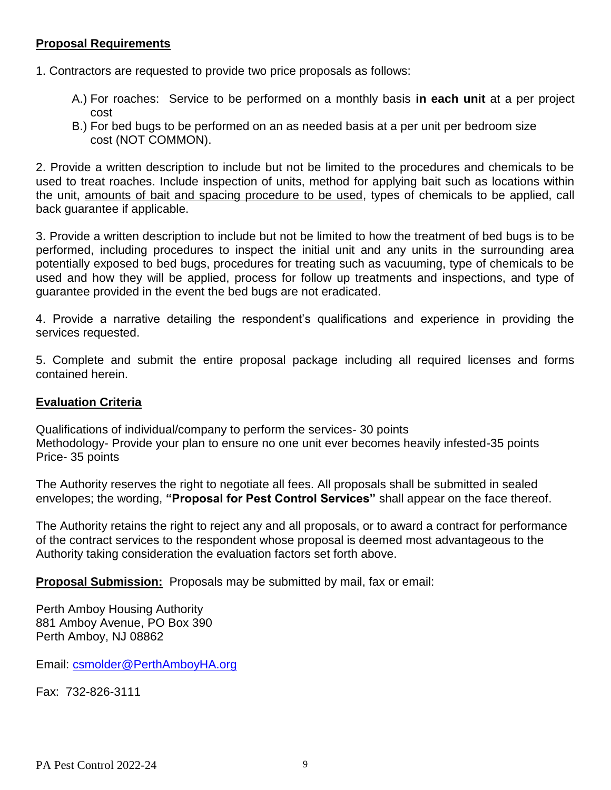## **Proposal Requirements**

1. Contractors are requested to provide two price proposals as follows:

- A.) For roaches: Service to be performed on a monthly basis **in each unit** at a per project cost
- B.) For bed bugs to be performed on an as needed basis at a per unit per bedroom size cost (NOT COMMON).

2. Provide a written description to include but not be limited to the procedures and chemicals to be used to treat roaches. Include inspection of units, method for applying bait such as locations within the unit, amounts of bait and spacing procedure to be used, types of chemicals to be applied, call back guarantee if applicable.

3. Provide a written description to include but not be limited to how the treatment of bed bugs is to be performed, including procedures to inspect the initial unit and any units in the surrounding area potentially exposed to bed bugs, procedures for treating such as vacuuming, type of chemicals to be used and how they will be applied, process for follow up treatments and inspections, and type of guarantee provided in the event the bed bugs are not eradicated.

4. Provide a narrative detailing the respondent's qualifications and experience in providing the services requested.

5. Complete and submit the entire proposal package including all required licenses and forms contained herein.

## **Evaluation Criteria**

Qualifications of individual/company to perform the services- 30 points Methodology- Provide your plan to ensure no one unit ever becomes heavily infested-35 points Price- 35 points

The Authority reserves the right to negotiate all fees. All proposals shall be submitted in sealed envelopes; the wording, **"Proposal for Pest Control Services"** shall appear on the face thereof.

The Authority retains the right to reject any and all proposals, or to award a contract for performance of the contract services to the respondent whose proposal is deemed most advantageous to the Authority taking consideration the evaluation factors set forth above.

**Proposal Submission:** Proposals may be submitted by mail, fax or email:

Perth Amboy Housing Authority 881 Amboy Avenue, PO Box 390 Perth Amboy, NJ 08862

Email: [csmolder@PerthAmboyHA.org](mailto:csmolder@PerthAmboyHA.org)

Fax: 732-826-3111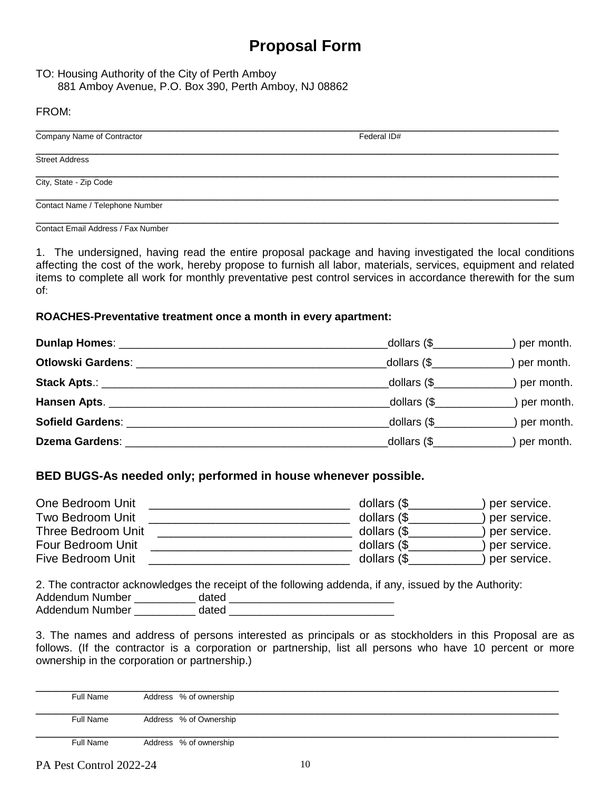# **Proposal Form**

### TO: Housing Authority of the City of Perth Amboy 881 Amboy Avenue, P.O. Box 390, Perth Amboy, NJ 08862

### FROM:

| Company Name of Contractor      | Federal ID# |  |
|---------------------------------|-------------|--|
| <b>Street Address</b>           |             |  |
| City, State - Zip Code          |             |  |
| Contact Name / Telephone Number |             |  |

Contact Email Address / Fax Number

1. The undersigned, having read the entire proposal package and having investigated the local conditions affecting the cost of the work, hereby propose to furnish all labor, materials, services, equipment and related items to complete all work for monthly preventative pest control services in accordance therewith for the sum of:

### **ROACHES-Preventative treatment once a month in every apartment:**

|                                                                                                                                                                                                                                | dollars $(\$\)$                    | ) per month. |
|--------------------------------------------------------------------------------------------------------------------------------------------------------------------------------------------------------------------------------|------------------------------------|--------------|
| Otlowski Gardens: New York Contract of the Contract of the Contract of the Contract of the Contract of the Contract of the Contract of the Contract of the Contract of the Contract of the Contract of the Contract of the Con |                                    | ) per month. |
|                                                                                                                                                                                                                                | dollars $(\$                       | ) per month. |
|                                                                                                                                                                                                                                | dollars $(\frac{6}{2})$ per month. |              |
|                                                                                                                                                                                                                                | dollars $(\$\$                     | ) per month. |
|                                                                                                                                                                                                                                |                                    | ) per month. |

## **BED BUGS-As needed only; performed in house whenever possible.**

| One Bedroom Unit   | dollars $(\$ | per service. |
|--------------------|--------------|--------------|
| Two Bedroom Unit   | dollars $(\$ | per service. |
| Three Bedroom Unit | dollars $(\$ | per service. |
| Four Bedroom Unit  | dollars $(\$ | per service. |
| Five Bedroom Unit  | dollars (\$  | per service. |
|                    |              |              |

2. The contractor acknowledges the receipt of the following addenda, if any, issued by the Authority: Addendum Number \_\_\_\_\_\_\_\_\_\_ dated \_\_\_\_\_\_\_\_\_\_\_\_\_\_\_\_\_\_\_\_\_\_\_\_\_\_\_ Addendum Number dated **and a controlled** and a set of the set of the set of the set of the set of the set of the set of the set of the set of the set of the set of the set of the set of the set of the set of the set of the

3. The names and address of persons interested as principals or as stockholders in this Proposal are as follows. (If the contractor is a corporation or partnership, list all persons who have 10 percent or more ownership in the corporation or partnership.)

| Full Name        | Address % of ownership |  |  |
|------------------|------------------------|--|--|
| Full Name        | Address % of Ownership |  |  |
| <b>Full Name</b> | Address % of ownership |  |  |

PA Pest Control 2022-24 10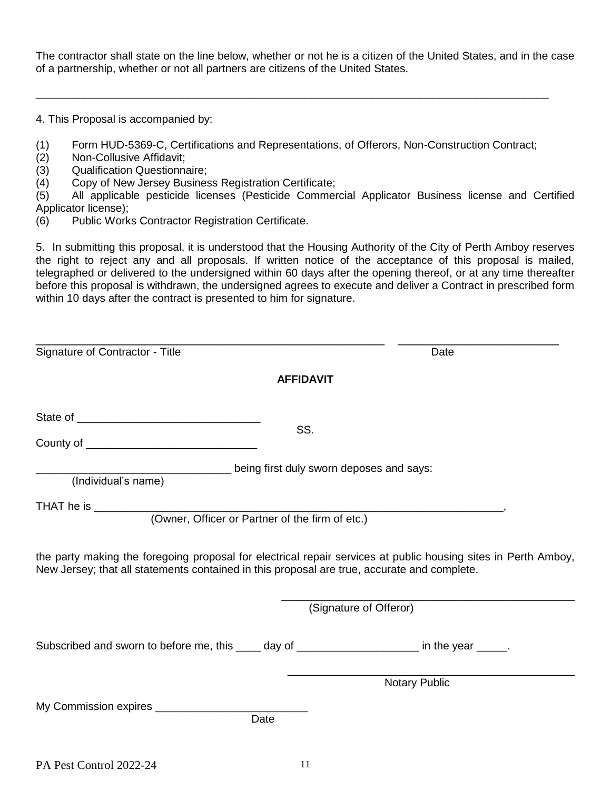The contractor shall state on the line below, whether or not he is a citizen of the United States, and in the case of a partnership, whether or not all partners are citizens of the United States.

4. This Proposal is accompanied by:

(1) Form HUD-5369-C, Certifications and Representations, of Offerors, Non-Construction Contract;

\_\_\_\_\_\_\_\_\_\_\_\_\_\_\_\_\_\_\_\_\_\_\_\_\_\_\_\_\_\_\_\_\_\_\_\_\_\_\_\_\_\_\_\_\_\_\_\_\_\_\_\_\_\_\_\_\_\_\_\_\_\_\_\_\_\_\_\_\_\_\_\_\_\_\_\_\_\_\_\_\_\_\_\_

- (2) Non-Collusive Affidavit;
- (3) Qualification Questionnaire;<br>(4) Copy of New Jersey Busines
- Copy of New Jersey Business Registration Certificate;

(5) All applicable pesticide licenses (Pesticide Commercial Applicator Business license and Certified Applicator license);

(6) Public Works Contractor Registration Certificate.

5. In submitting this proposal, it is understood that the Housing Authority of the City of Perth Amboy reserves the right to reject any and all proposals. If written notice of the acceptance of this proposal is mailed, telegraphed or delivered to the undersigned within 60 days after the opening thereof, or at any time thereafter before this proposal is withdrawn, the undersigned agrees to execute and deliver a Contract in prescribed form within 10 days after the contract is presented to him for signature.

| Signature of Contractor - Title                                                                                                                                                                               | Date                                     |
|---------------------------------------------------------------------------------------------------------------------------------------------------------------------------------------------------------------|------------------------------------------|
| <b>AFFIDAVIT</b>                                                                                                                                                                                              |                                          |
| SS.                                                                                                                                                                                                           |                                          |
| (Individual's name)                                                                                                                                                                                           | being first duly sworn deposes and says: |
| (Owner, Officer or Partner of the firm of etc.)                                                                                                                                                               |                                          |
| the party making the foregoing proposal for electrical repair services at public housing sites in Perth Amboy,<br>New Jersey; that all statements contained in this proposal are true, accurate and complete. |                                          |
|                                                                                                                                                                                                               | (Signature of Offeror)                   |
| Subscribed and sworn to before me, this _____ day of _____________________ in the year _____.                                                                                                                 |                                          |
|                                                                                                                                                                                                               | Notary Public                            |
| My Commission expires ________________<br>Date                                                                                                                                                                |                                          |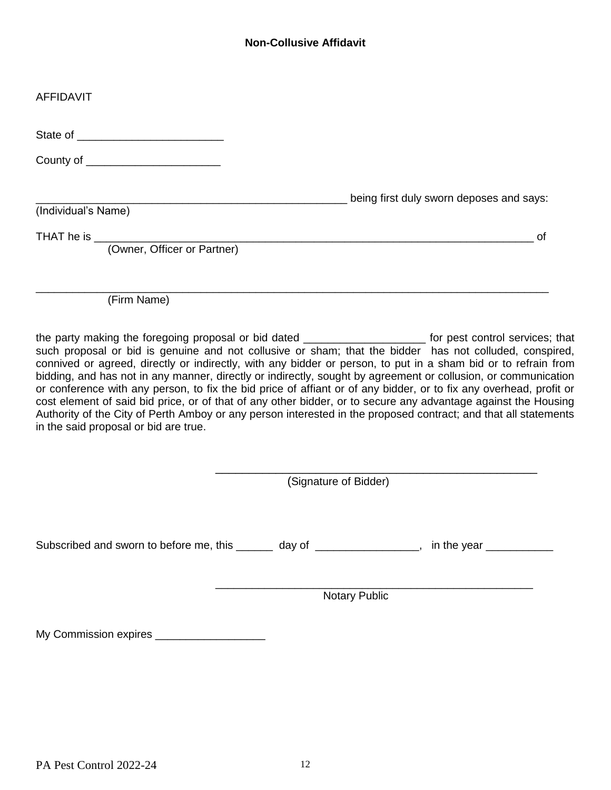## **Non-Collusive Affidavit**

| <b>AFFIDAVIT</b>                      |                                                                                                                                                                                                                                                                                                                                                                                                                                                                                                                                                                                                                                                                                                                                                                                                                        |
|---------------------------------------|------------------------------------------------------------------------------------------------------------------------------------------------------------------------------------------------------------------------------------------------------------------------------------------------------------------------------------------------------------------------------------------------------------------------------------------------------------------------------------------------------------------------------------------------------------------------------------------------------------------------------------------------------------------------------------------------------------------------------------------------------------------------------------------------------------------------|
|                                       |                                                                                                                                                                                                                                                                                                                                                                                                                                                                                                                                                                                                                                                                                                                                                                                                                        |
|                                       |                                                                                                                                                                                                                                                                                                                                                                                                                                                                                                                                                                                                                                                                                                                                                                                                                        |
| (Individual's Name)                   | being first duly sworn deposes and says:                                                                                                                                                                                                                                                                                                                                                                                                                                                                                                                                                                                                                                                                                                                                                                               |
|                                       | οf                                                                                                                                                                                                                                                                                                                                                                                                                                                                                                                                                                                                                                                                                                                                                                                                                     |
| (Firm Name)                           |                                                                                                                                                                                                                                                                                                                                                                                                                                                                                                                                                                                                                                                                                                                                                                                                                        |
| in the said proposal or bid are true. | the party making the foregoing proposal or bid dated _______________________ for pest control services; that<br>such proposal or bid is genuine and not collusive or sham; that the bidder has not colluded, conspired,<br>connived or agreed, directly or indirectly, with any bidder or person, to put in a sham bid or to refrain from<br>bidding, and has not in any manner, directly or indirectly, sought by agreement or collusion, or communication<br>or conference with any person, to fix the bid price of affiant or of any bidder, or to fix any overhead, profit or<br>cost element of said bid price, or of that of any other bidder, or to secure any advantage against the Housing<br>Authority of the City of Perth Amboy or any person interested in the proposed contract; and that all statements |
|                                       | (Signature of Bidder)                                                                                                                                                                                                                                                                                                                                                                                                                                                                                                                                                                                                                                                                                                                                                                                                  |
|                                       | Subscribed and sworn to before me, this ______ day of _______________, in the year __________                                                                                                                                                                                                                                                                                                                                                                                                                                                                                                                                                                                                                                                                                                                          |
|                                       | <b>Notary Public</b>                                                                                                                                                                                                                                                                                                                                                                                                                                                                                                                                                                                                                                                                                                                                                                                                   |
|                                       |                                                                                                                                                                                                                                                                                                                                                                                                                                                                                                                                                                                                                                                                                                                                                                                                                        |

My Commission expires \_\_\_\_\_\_\_\_\_\_\_\_\_\_\_\_\_\_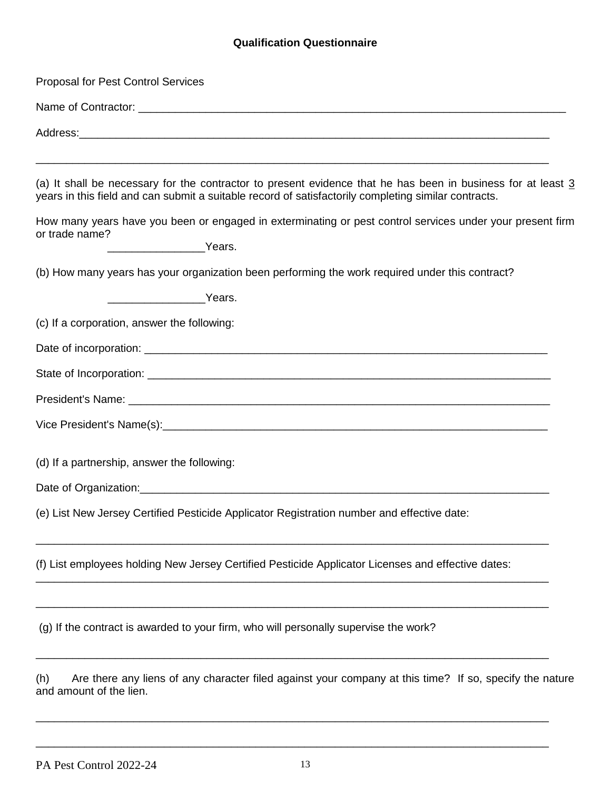## **Qualification Questionnaire**

| <b>Proposal for Pest Control Services</b>                                                                                                                                                                                          |
|------------------------------------------------------------------------------------------------------------------------------------------------------------------------------------------------------------------------------------|
| Name of Contractor: <u>the contractor</u> contract of the contract of the contract of the contractor of the contractor of the contractor of the contractor of the contractor of the contractor of the contractor of the contractor |
|                                                                                                                                                                                                                                    |
| (a) It shall be necessary for the contractor to present evidence that he has been in business for at least 3<br>years in this field and can submit a suitable record of satisfactorily completing similar contracts.               |
| How many years have you been or engaged in exterminating or pest control services under your present firm<br>or trade name?<br>__________________________Years.                                                                    |
| (b) How many years has your organization been performing the work required under this contract?                                                                                                                                    |
| <u>____________________</u> Years.                                                                                                                                                                                                 |
| (c) If a corporation, answer the following:                                                                                                                                                                                        |
|                                                                                                                                                                                                                                    |
|                                                                                                                                                                                                                                    |
|                                                                                                                                                                                                                                    |
|                                                                                                                                                                                                                                    |
| (d) If a partnership, answer the following:                                                                                                                                                                                        |
|                                                                                                                                                                                                                                    |
| (e) List New Jersey Certified Pesticide Applicator Registration number and effective date:                                                                                                                                         |
| (f) List employees holding New Jersey Certified Pesticide Applicator Licenses and effective dates:                                                                                                                                 |
| (g) If the contract is awarded to your firm, who will personally supervise the work?                                                                                                                                               |
| Are there any liens of any character filed against your company at this time? If so, specify the nature<br>(h)<br>and amount of the lien.                                                                                          |

\_\_\_\_\_\_\_\_\_\_\_\_\_\_\_\_\_\_\_\_\_\_\_\_\_\_\_\_\_\_\_\_\_\_\_\_\_\_\_\_\_\_\_\_\_\_\_\_\_\_\_\_\_\_\_\_\_\_\_\_\_\_\_\_\_\_\_\_\_\_\_\_\_\_\_\_\_\_\_\_\_\_\_\_

\_\_\_\_\_\_\_\_\_\_\_\_\_\_\_\_\_\_\_\_\_\_\_\_\_\_\_\_\_\_\_\_\_\_\_\_\_\_\_\_\_\_\_\_\_\_\_\_\_\_\_\_\_\_\_\_\_\_\_\_\_\_\_\_\_\_\_\_\_\_\_\_\_\_\_\_\_\_\_\_\_\_\_\_